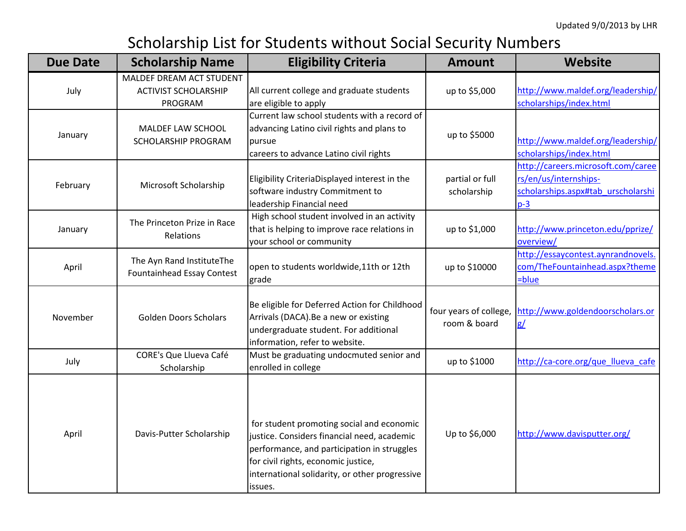## Scholarship List for Students without Social Security Numbers

| <b>Due Date</b> | <b>Scholarship Name</b>                                            | <b>Eligibility Criteria</b>                                                                                                                                                                                                                 | <b>Amount</b>                          | <b>Website</b>                                                                                             |
|-----------------|--------------------------------------------------------------------|---------------------------------------------------------------------------------------------------------------------------------------------------------------------------------------------------------------------------------------------|----------------------------------------|------------------------------------------------------------------------------------------------------------|
| July            | MALDEF DREAM ACT STUDENT<br><b>ACTIVIST SCHOLARSHIP</b><br>PROGRAM | All current college and graduate students<br>are eligible to apply                                                                                                                                                                          | up to \$5,000                          | http://www.maldef.org/leadership/<br>scholarships/index.html                                               |
| January         | MALDEF LAW SCHOOL<br>SCHOLARSHIP PROGRAM                           | Current law school students with a record of<br>advancing Latino civil rights and plans to<br>pursue<br>careers to advance Latino civil rights                                                                                              | up to \$5000                           | http://www.maldef.org/leadership/<br>scholarships/index.html                                               |
| February        | Microsoft Scholarship                                              | Eligibility CriteriaDisplayed interest in the<br>software industry Commitment to<br>leadership Financial need                                                                                                                               | partial or full<br>scholarship         | http://careers.microsoft.com/caree<br>rs/en/us/internships-<br>scholarships.aspx#tab urscholarshi<br>$p-3$ |
| January         | The Princeton Prize in Race<br>Relations                           | High school student involved in an activity<br>that is helping to improve race relations in<br>your school or community                                                                                                                     | up to \$1,000                          | http://www.princeton.edu/pprize/<br>overview/                                                              |
| April           | The Ayn Rand InstituteThe<br><b>Fountainhead Essay Contest</b>     | open to students worldwide, 11th or 12th<br>grade                                                                                                                                                                                           | up to \$10000                          | http://essaycontest.aynrandnovels.<br>com/TheFountainhead.aspx?theme<br>=blue                              |
| November        | <b>Golden Doors Scholars</b>                                       | Be eligible for Deferred Action for Childhood<br>Arrivals (DACA). Be a new or existing<br>undergraduate student. For additional<br>information, refer to website.                                                                           | four years of college,<br>room & board | http://www.goldendoorscholars.or<br>g/                                                                     |
| July            | <b>CORE's Que Llueva Café</b><br>Scholarship                       | Must be graduating undocmuted senior and<br>enrolled in college                                                                                                                                                                             | up to \$1000                           | http://ca-core.org/que_llueva_cafe                                                                         |
| April           | Davis-Putter Scholarship                                           | for student promoting social and economic<br>justice. Considers financial need, academic<br>performance, and participation in struggles<br>for civil rights, economic justice,<br>international solidarity, or other progressive<br>issues. | Up to \$6,000                          | http://www.davisputter.org/                                                                                |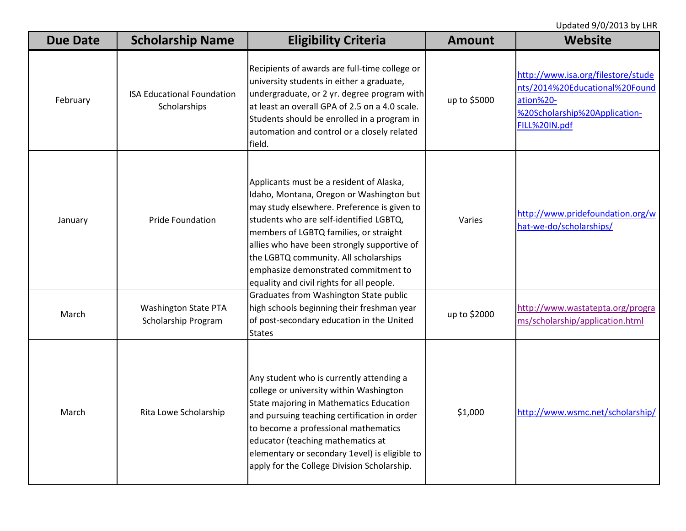Updated 9/0/2013 by LHR

| <b>Due Date</b> | <b>Scholarship Name</b>                            | <b>Eligibility Criteria</b>                                                                                                                                                                                                                                                                                                                                                                           | <b>Amount</b> | <b>Website</b>                                                                                                                      |
|-----------------|----------------------------------------------------|-------------------------------------------------------------------------------------------------------------------------------------------------------------------------------------------------------------------------------------------------------------------------------------------------------------------------------------------------------------------------------------------------------|---------------|-------------------------------------------------------------------------------------------------------------------------------------|
| February        | <b>ISA Educational Foundation</b><br>Scholarships  | Recipients of awards are full-time college or<br>university students in either a graduate,<br>undergraduate, or 2 yr. degree program with<br>at least an overall GPA of 2.5 on a 4.0 scale.<br>Students should be enrolled in a program in<br>automation and control or a closely related<br>field.                                                                                                   | up to \$5000  | http://www.isa.org/filestore/stude<br>nts/2014%20Educational%20Found<br>ation%20-<br>%20Scholarship%20Application-<br>FILL%20IN.pdf |
| January         | <b>Pride Foundation</b>                            | Applicants must be a resident of Alaska,<br>Idaho, Montana, Oregon or Washington but<br>may study elsewhere. Preference is given to<br>students who are self-identified LGBTQ,<br>members of LGBTQ families, or straight<br>allies who have been strongly supportive of<br>the LGBTQ community. All scholarships<br>emphasize demonstrated commitment to<br>equality and civil rights for all people. | Varies        | http://www.pridefoundation.org/w<br>hat-we-do/scholarships/                                                                         |
| March           | <b>Washington State PTA</b><br>Scholarship Program | Graduates from Washington State public<br>high schools beginning their freshman year<br>of post-secondary education in the United<br><b>States</b>                                                                                                                                                                                                                                                    | up to \$2000  | http://www.wastatepta.org/progra<br>ms/scholarship/application.html                                                                 |
| March           | Rita Lowe Scholarship                              | Any student who is currently attending a<br>college or university within Washington<br>State majoring in Mathematics Education<br>and pursuing teaching certification in order<br>to become a professional mathematics<br>educator (teaching mathematics at<br>elementary or secondary 1evel) is eligible to<br>apply for the College Division Scholarship.                                           | \$1,000       | http://www.wsmc.net/scholarship/                                                                                                    |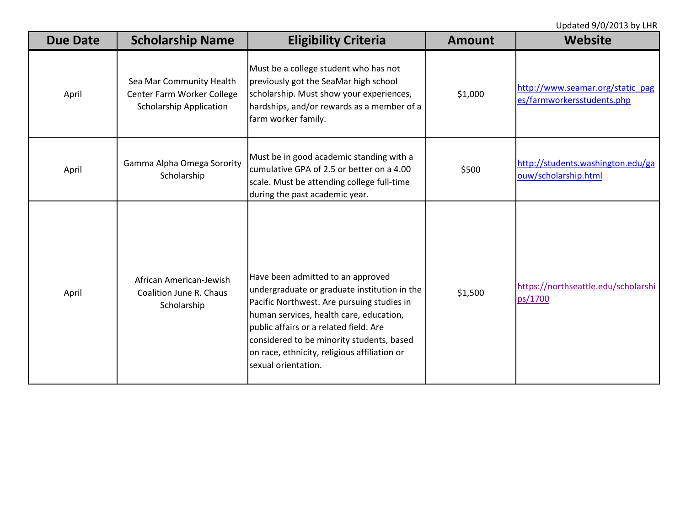Updated 9/0/2013 by LHR

| <b>Due Date</b> | <b>Scholarship Name</b>                                                                  | <b>Eligibility Criteria</b>                                                                                                                                                                                                                                                                                                              | <b>Amount</b> | <b>Website</b>                                                 |
|-----------------|------------------------------------------------------------------------------------------|------------------------------------------------------------------------------------------------------------------------------------------------------------------------------------------------------------------------------------------------------------------------------------------------------------------------------------------|---------------|----------------------------------------------------------------|
| April           | Sea Mar Community Health<br>Center Farm Worker College<br><b>Scholarship Application</b> | Must be a college student who has not<br>previously got the SeaMar high school<br>scholarship. Must show your experiences,<br>hardships, and/or rewards as a member of a<br>farm worker family.                                                                                                                                          | \$1,000       | http://www.seamar.org/static_pag<br>es/farmworkersstudents.php |
| April           | Gamma Alpha Omega Sorority<br>Scholarship                                                | Must be in good academic standing with a<br>cumulative GPA of 2.5 or better on a 4.00<br>scale. Must be attending college full-time<br>during the past academic year.                                                                                                                                                                    | \$500         | http://students.washington.edu/ga<br>ouw/scholarship.html      |
| April           | African American-Jewish<br>Coalition June R. Chaus<br>Scholarship                        | Have been admitted to an approved<br>undergraduate or graduate institution in the<br>Pacific Northwest. Are pursuing studies in<br>human services, health care, education,<br>public affairs or a related field. Are<br>considered to be minority students, based<br>on race, ethnicity, religious affiliation or<br>sexual orientation. | \$1,500       | https://northseattle.edu/scholarshi<br>ps/1700                 |